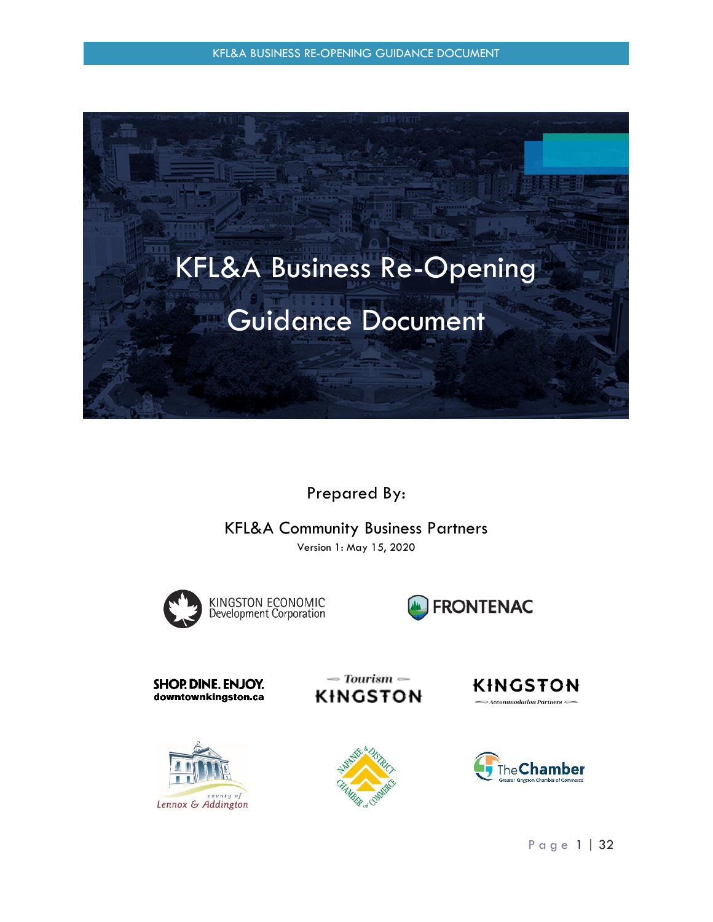KFL&A BUSINESS RE-OPENING GUIDANCE DOCUMENT



Prepared By:

KFL&A Community Business Partners

Version 1: May 15, 2020



KINGSTON ECONOMIC<br>Development Corporation



SHOP. DINE. ENJOY. downtownkingston.ca



**KINGSTON** 

 $\sim$  Tourism  $\sim$ 





**KINGSTON** 

 $\Rightarrow$  Accommodation Partners  $\Longleftrightarrow$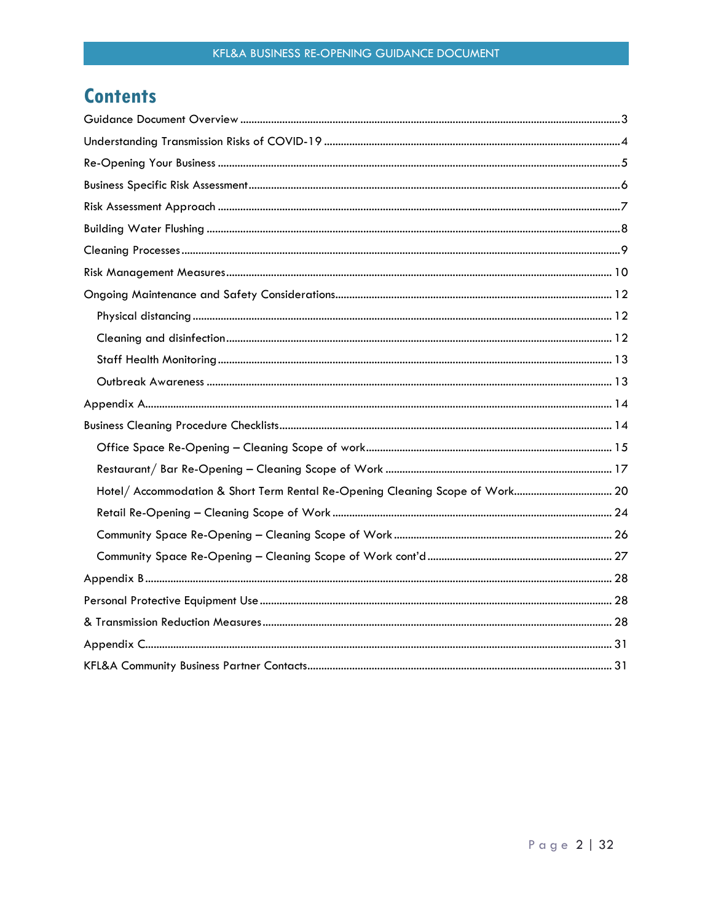## **Contents**

| Hotel/ Accommodation & Short Term Rental Re-Opening Cleaning Scope of Work 20 |  |
|-------------------------------------------------------------------------------|--|
|                                                                               |  |
|                                                                               |  |
|                                                                               |  |
|                                                                               |  |
|                                                                               |  |
|                                                                               |  |
|                                                                               |  |
|                                                                               |  |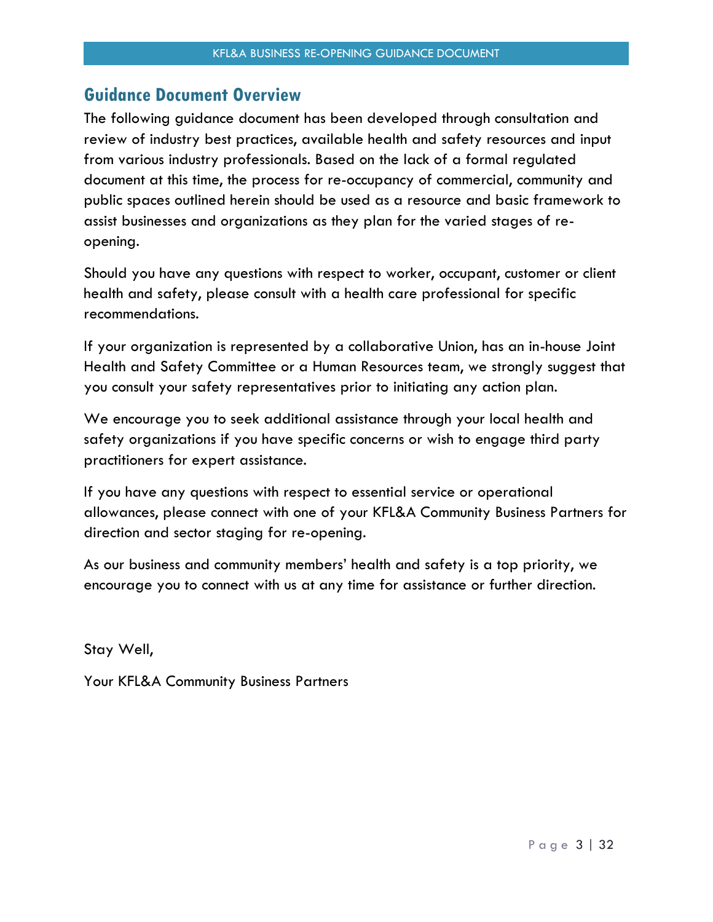### <span id="page-2-0"></span>**Guidance Document Overview**

The following guidance document has been developed through consultation and review of industry best practices, available health and safety resources and input from various industry professionals. Based on the lack of a formal regulated document at this time, the process for re-occupancy of commercial, community and public spaces outlined herein should be used as a resource and basic framework to assist businesses and organizations as they plan for the varied stages of reopening.

Should you have any questions with respect to worker, occupant, customer or client health and safety, please consult with a health care professional for specific recommendations.

If your organization is represented by a collaborative Union, has an in-house Joint Health and Safety Committee or a Human Resources team, we strongly suggest that you consult your safety representatives prior to initiating any action plan.

We encourage you to seek additional assistance through your local health and safety organizations if you have specific concerns or wish to engage third party practitioners for expert assistance.

If you have any questions with respect to essential service or operational allowances, please connect with one of your KFL&A Community Business Partners for direction and sector staging for re-opening.

As our business and community members' health and safety is a top priority, we encourage you to connect with us at any time for assistance or further direction.

Stay Well,

Your KFL&A Community Business Partners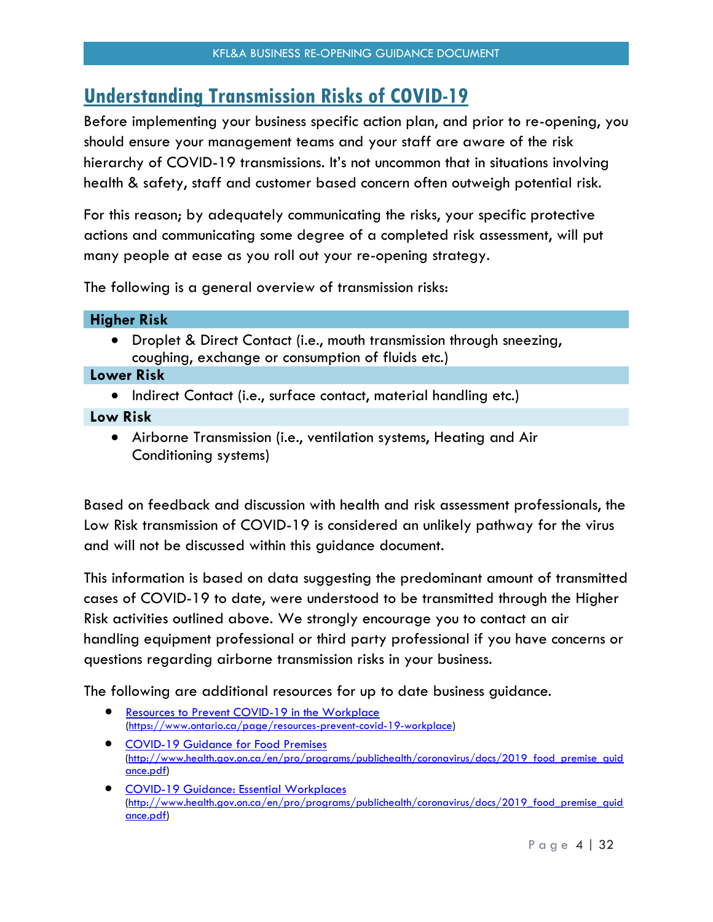## <span id="page-3-0"></span>**Understanding Transmission Risks of COVID-19**

Before implementing your business specific action plan, and prior to re-opening, you should ensure your management teams and your staff are aware of the risk hierarchy of COVID-19 transmissions. It's not uncommon that in situations involving health & safety, staff and customer based concern often outweigh potential risk.

For this reason; by adequately communicating the risks, your specific protective actions and communicating some degree of a completed risk assessment, will put many people at ease as you roll out your re-opening strategy.

The following is a general overview of transmission risks:

| <b>Higher Risk</b>                                                                                                          |
|-----------------------------------------------------------------------------------------------------------------------------|
| • Droplet & Direct Contact (i.e., mouth transmission through sneezing,<br>coughing, exchange or consumption of fluids etc.) |
| <b>Lower Risk</b>                                                                                                           |
| • Indirect Contact (i.e., surface contact, material handling etc.)                                                          |
| Low Risk                                                                                                                    |
| the contract of the contract of the contract of the contract of the contract of the contract of the contract of<br>.        |

 Airborne Transmission (i.e., ventilation systems, Heating and Air Conditioning systems)

Based on feedback and discussion with health and risk assessment professionals, the Low Risk transmission of COVID-19 is considered an unlikely pathway for the virus and will not be discussed within this guidance document.

This information is based on data suggesting the predominant amount of transmitted cases of COVID-19 to date, were understood to be transmitted through the Higher Risk activities outlined above. We strongly encourage you to contact an air handling equipment professional or third party professional if you have concerns or questions regarding airborne transmission risks in your business.

The following are additional resources for up to date business guidance.

- [Resources to Prevent COVID-19 in the Workplace](https://linkprotect.cudasvc.com/url?a=https%3a%2f%2fwww.ontario.ca%2fpage%2fresources-prevent-covid-19-workplace&c=E,1,2pD5oNjzRGbRLCvVrcpt6ZO8gIyoR7jceLkOPKSgVaYguO0reybu85Mk77QlOb98jopSR9Jk9dZ45Vj0hZtPblxDTP3ewrXFI7kmIffO7_Zh&typo=1) [\(https://www.ontario.ca/page/resources-prevent-covid-19-workplace\)](https://www.ontario.ca/page/resources-prevent-covid-19-workplace)
- [COVID-19 Guidance for Food Premises](https://linkprotect.cudasvc.com/url?a=http%3a%2f%2fwww.health.gov.on.ca%2fen%2fpro%2fprograms%2fpublichealth%2fcoronavirus%2fdocs%2f2019_food_premise_guidance.pdf&c=E,1,GSL_2Nzfd56nGoXbo2rM6b9kOm9xBmMTvS9gBA46ueGvjRJNmdUqreFBMPAwsiBFhosUc406En9U7sDVCoXRS3m1_bOAykcZ4vl1A0VGgdd2VhGf0ediRnxZ4Y0,&typo=1) [\(http://www.health.gov.on.ca/en/pro/programs/publichealth/coronavirus/docs/2019\\_food\\_premise\\_guid](http://www.health.gov.on.ca/en/pro/programs/publichealth/coronavirus/docs/2019_food_premise_guidance.pdf) [ance.pdf\)](http://www.health.gov.on.ca/en/pro/programs/publichealth/coronavirus/docs/2019_food_premise_guidance.pdf)
- [COVID-19 Guidance: Essential Workplaces](https://linkprotect.cudasvc.com/url?a=http%3a%2f%2fwww.health.gov.on.ca%2fen%2fpro%2fprograms%2fpublichealth%2fcoronavirus%2fdocs%2f2019_essential_workplaces_guidance.pdf&c=E,1,F-WTOPkW6ISGnXBnGGUGRpTMHIjN0hAmMDO4LHdSHs61_wPqbML3t3yEvTaJbq86TqTzjxdhemkos7DMiG4XnPvg-rgBy5SwDeR_ArVyfU701tVL_uOksOB5&typo=1) [\(http://www.health.gov.on.ca/en/pro/programs/publichealth/coronavirus/docs/2019\\_food\\_premise\\_guid](http://www.health.gov.on.ca/en/pro/programs/publichealth/coronavirus/docs/2019_food_premise_guidance.pdf) [ance.pdf\)](http://www.health.gov.on.ca/en/pro/programs/publichealth/coronavirus/docs/2019_food_premise_guidance.pdf)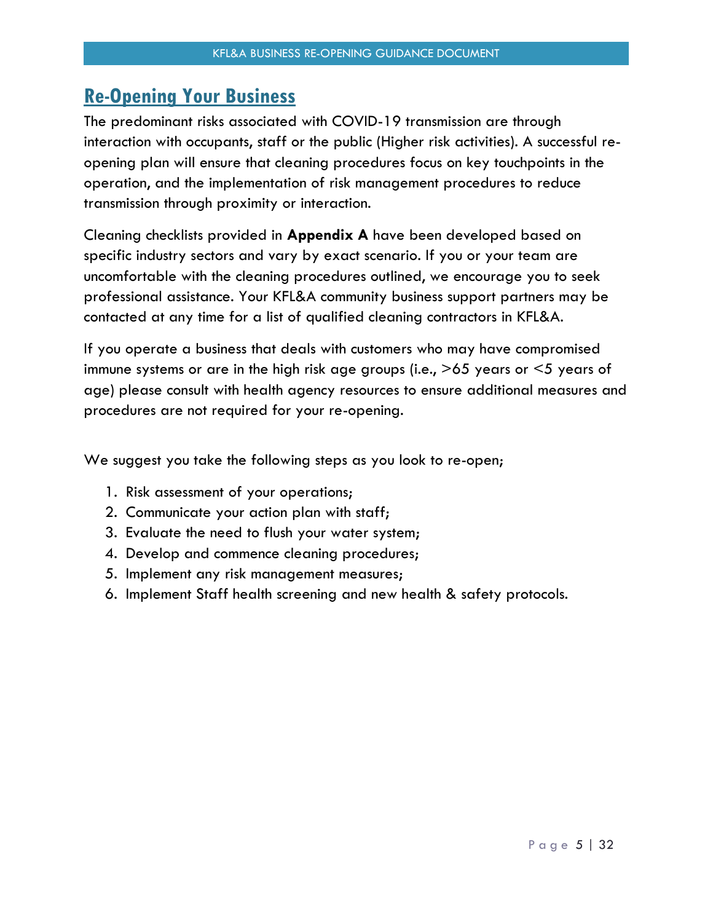### <span id="page-4-0"></span>**Re-Opening Your Business**

The predominant risks associated with COVID-19 transmission are through interaction with occupants, staff or the public (Higher risk activities). A successful reopening plan will ensure that cleaning procedures focus on key touchpoints in the operation, and the implementation of risk management procedures to reduce transmission through proximity or interaction.

Cleaning checklists provided in **Appendix A** have been developed based on specific industry sectors and vary by exact scenario. If you or your team are uncomfortable with the cleaning procedures outlined, we encourage you to seek professional assistance. Your KFL&A community business support partners may be contacted at any time for a list of qualified cleaning contractors in KFL&A.

If you operate a business that deals with customers who may have compromised immune systems or are in the high risk age groups (i.e., >65 years or <5 years of age) please consult with health agency resources to ensure additional measures and procedures are not required for your re-opening.

We suggest you take the following steps as you look to re-open;

- 1. Risk assessment of your operations;
- 2. Communicate your action plan with staff;
- 3. Evaluate the need to flush your water system;
- 4. Develop and commence cleaning procedures;
- 5. Implement any risk management measures;
- 6. Implement Staff health screening and new health & safety protocols.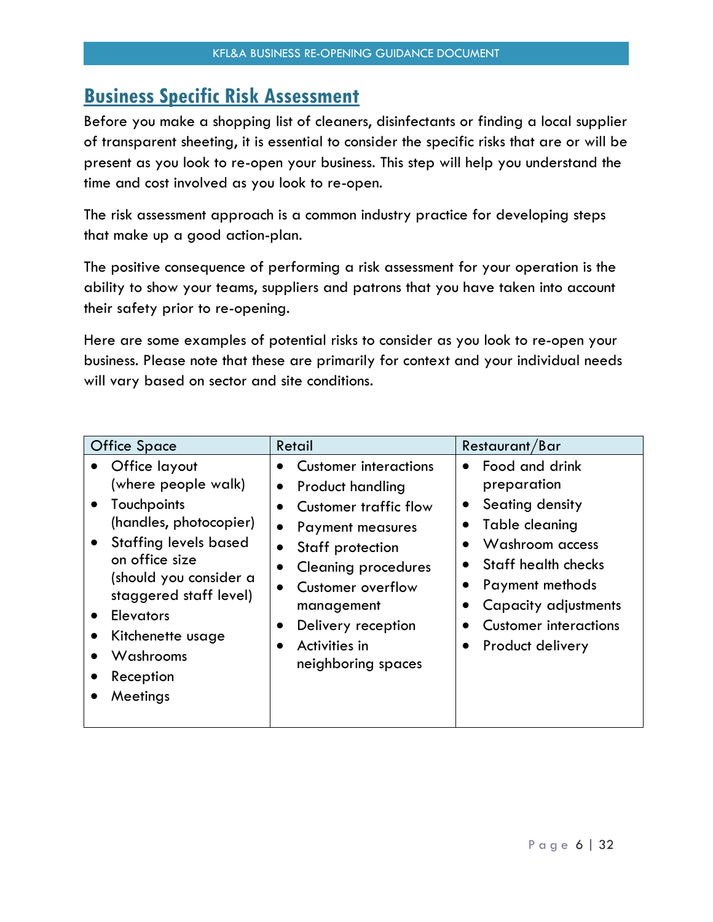### <span id="page-5-0"></span>**Business Specific Risk Assessment**

Before you make a shopping list of cleaners, disinfectants or finding a local supplier of transparent sheeting, it is essential to consider the specific risks that are or will be present as you look to re-open your business. This step will help you understand the time and cost involved as you look to re-open.

The risk assessment approach is a common industry practice for developing steps that make up a good action-plan.

The positive consequence of performing a risk assessment for your operation is the ability to show your teams, suppliers and patrons that you have taken into account their safety prior to re-opening.

Here are some examples of potential risks to consider as you look to re-open your business. Please note that these are primarily for context and your individual needs will vary based on sector and site conditions.

| <b>Office Space</b>                                                                                                                                                                                                                                                | Retail                                                                                                                                                                                                                                                              | Restaurant/Bar                                                                                                                                                                                              |
|--------------------------------------------------------------------------------------------------------------------------------------------------------------------------------------------------------------------------------------------------------------------|---------------------------------------------------------------------------------------------------------------------------------------------------------------------------------------------------------------------------------------------------------------------|-------------------------------------------------------------------------------------------------------------------------------------------------------------------------------------------------------------|
| Office layout<br>(where people walk)<br>Touchpoints<br>(handles, photocopier)<br><b>Staffing levels based</b><br>on office size<br>(should you consider a<br>staggered staff level)<br><b>Elevators</b><br>Kitchenette usage<br>Washrooms<br>Reception<br>Meetings | <b>Customer interactions</b><br><b>Product handling</b><br>$\bullet$<br>Customer traffic flow<br>Payment measures<br>Staff protection<br><b>Cleaning procedures</b><br>Customer overflow<br>management<br>Delivery reception<br>Activities in<br>neighboring spaces | Food and drink<br>preparation<br>Seating density<br>Table cleaning<br>Washroom access<br>Staff health checks<br>Payment methods<br>Capacity adjustments<br><b>Customer interactions</b><br>Product delivery |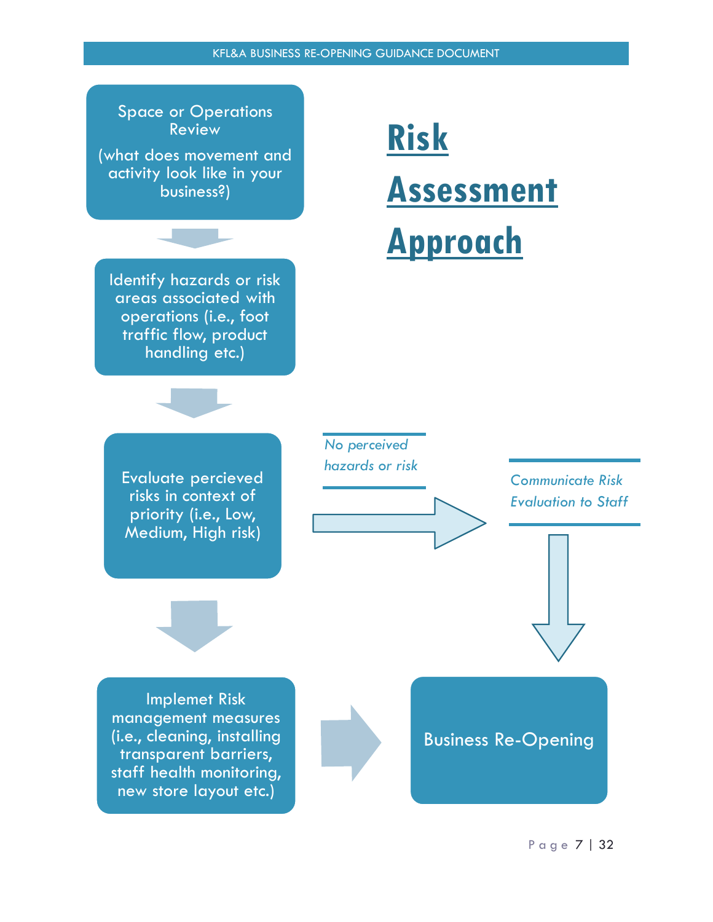

### KFL&A BUSINESS RE-OPENING GUIDANCE DOCUMENT

P a g e 7 | 32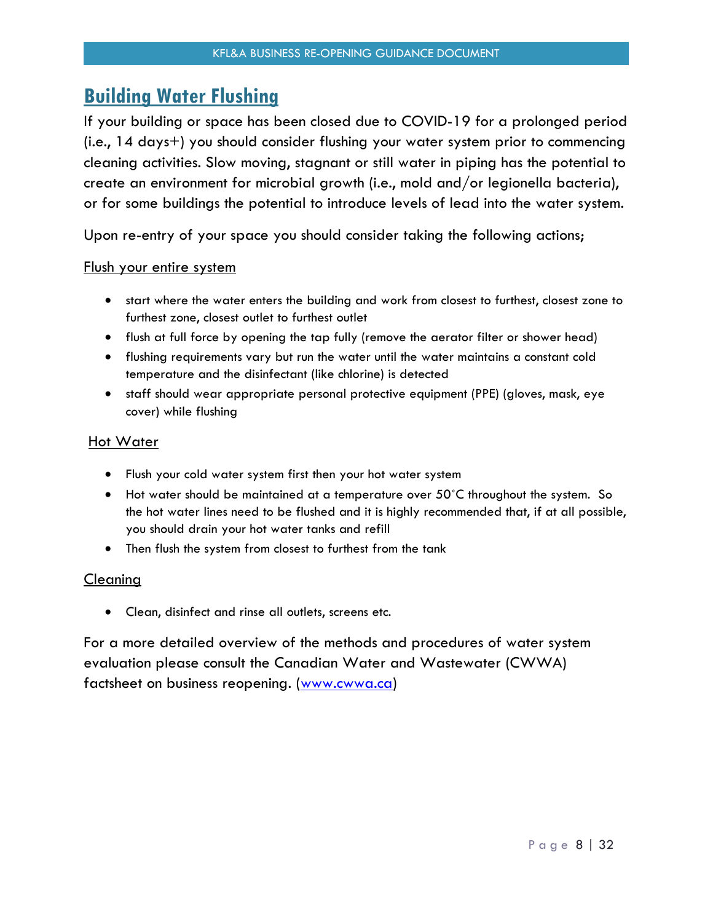### <span id="page-7-0"></span>**Building Water Flushing**

If your building or space has been closed due to COVID-19 for a prolonged period (i.e., 14 days+) you should consider flushing your water system prior to commencing cleaning activities. Slow moving, stagnant or still water in piping has the potential to create an environment for microbial growth (i.e., mold and/or legionella bacteria), or for some buildings the potential to introduce levels of lead into the water system.

Upon re-entry of your space you should consider taking the following actions;

#### Flush your entire system

- start where the water enters the building and work from closest to furthest, closest zone to furthest zone, closest outlet to furthest outlet
- flush at full force by opening the tap fully (remove the aerator filter or shower head)
- flushing requirements vary but run the water until the water maintains a constant cold temperature and the disinfectant (like chlorine) is detected
- staff should wear appropriate personal protective equipment (PPE) (gloves, mask, eye cover) while flushing

#### Hot Water

- Flush your cold water system first then your hot water system
- Hot water should be maintained at a temperature over 50˚C throughout the system. So the hot water lines need to be flushed and it is highly recommended that, if at all possible, you should drain your hot water tanks and refill
- Then flush the system from closest to furthest from the tank

#### Cleaning

Clean, disinfect and rinse all outlets, screens etc.

For a more detailed overview of the methods and procedures of water system evaluation please consult the Canadian Water and Wastewater (CWWA) factsheet on business reopening. [\(www.cwwa.ca\)](http://www.cwwa.ca/)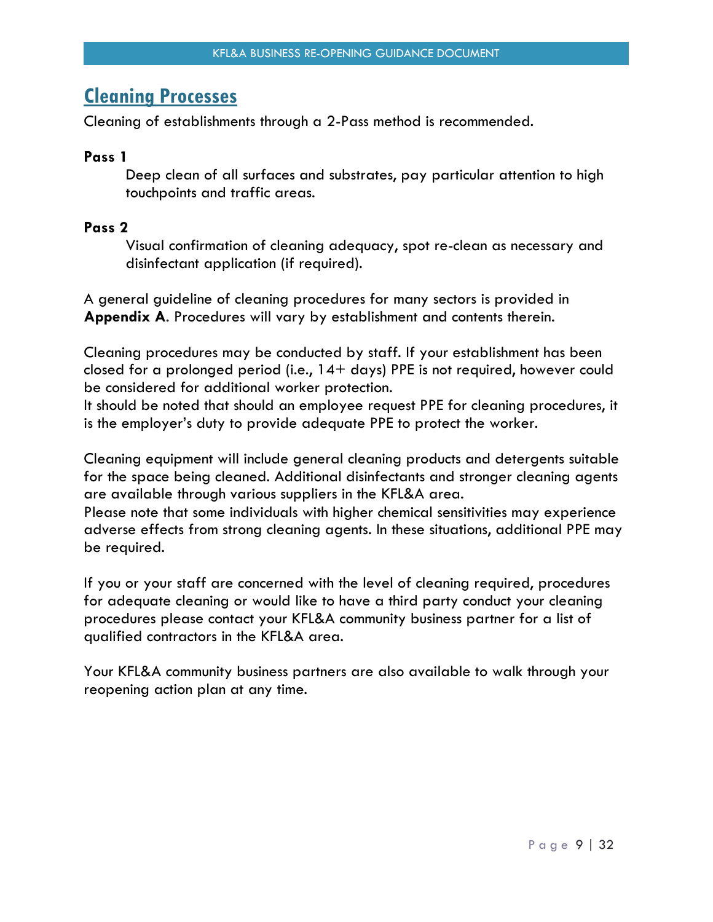### <span id="page-8-0"></span>**Cleaning Processes**

Cleaning of establishments through a 2-Pass method is recommended.

#### **Pass 1**

Deep clean of all surfaces and substrates, pay particular attention to high touchpoints and traffic areas.

### **Pass 2**

Visual confirmation of cleaning adequacy, spot re-clean as necessary and disinfectant application (if required).

A general guideline of cleaning procedures for many sectors is provided in **Appendix A**. Procedures will vary by establishment and contents therein.

Cleaning procedures may be conducted by staff. If your establishment has been closed for a prolonged period (i.e., 14+ days) PPE is not required, however could be considered for additional worker protection.

It should be noted that should an employee request PPE for cleaning procedures, it is the employer's duty to provide adequate PPE to protect the worker.

Cleaning equipment will include general cleaning products and detergents suitable for the space being cleaned. Additional disinfectants and stronger cleaning agents are available through various suppliers in the KFL&A area.

Please note that some individuals with higher chemical sensitivities may experience adverse effects from strong cleaning agents. In these situations, additional PPE may be required.

If you or your staff are concerned with the level of cleaning required, procedures for adequate cleaning or would like to have a third party conduct your cleaning procedures please contact your KFL&A community business partner for a list of qualified contractors in the KFL&A area.

Your KFL&A community business partners are also available to walk through your reopening action plan at any time.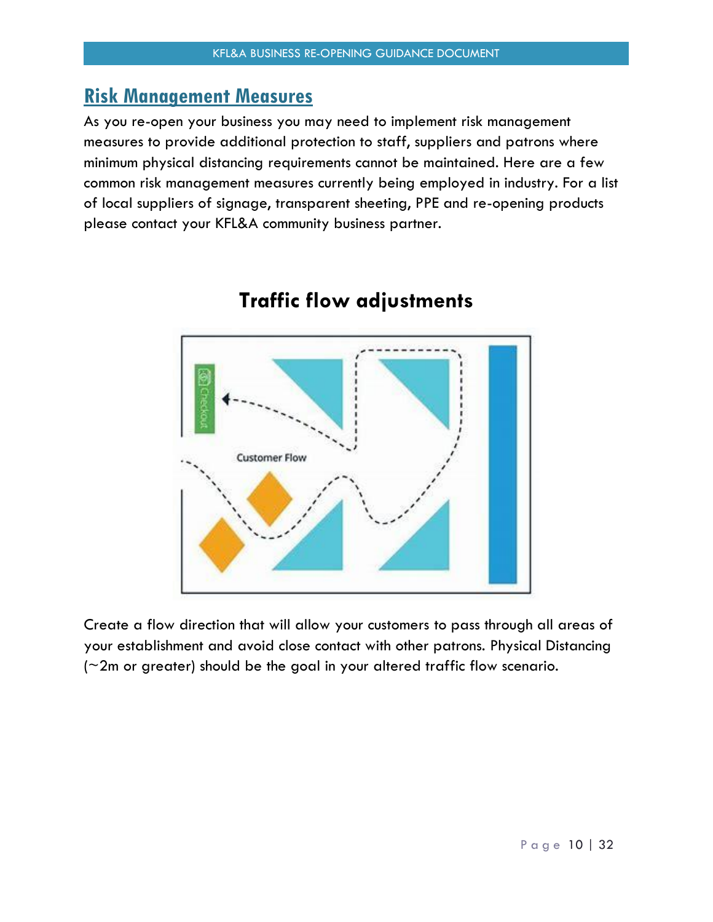### <span id="page-9-0"></span>**Risk Management Measures**

As you re-open your business you may need to implement risk management measures to provide additional protection to staff, suppliers and patrons where minimum physical distancing requirements cannot be maintained. Here are a few common risk management measures currently being employed in industry. For a list of local suppliers of signage, transparent sheeting, PPE and re-opening products please contact your KFL&A community business partner.



## **Traffic flow adjustments**

Create a flow direction that will allow your customers to pass through all areas of your establishment and avoid close contact with other patrons. Physical Distancing (~2m or greater) should be the goal in your altered traffic flow scenario.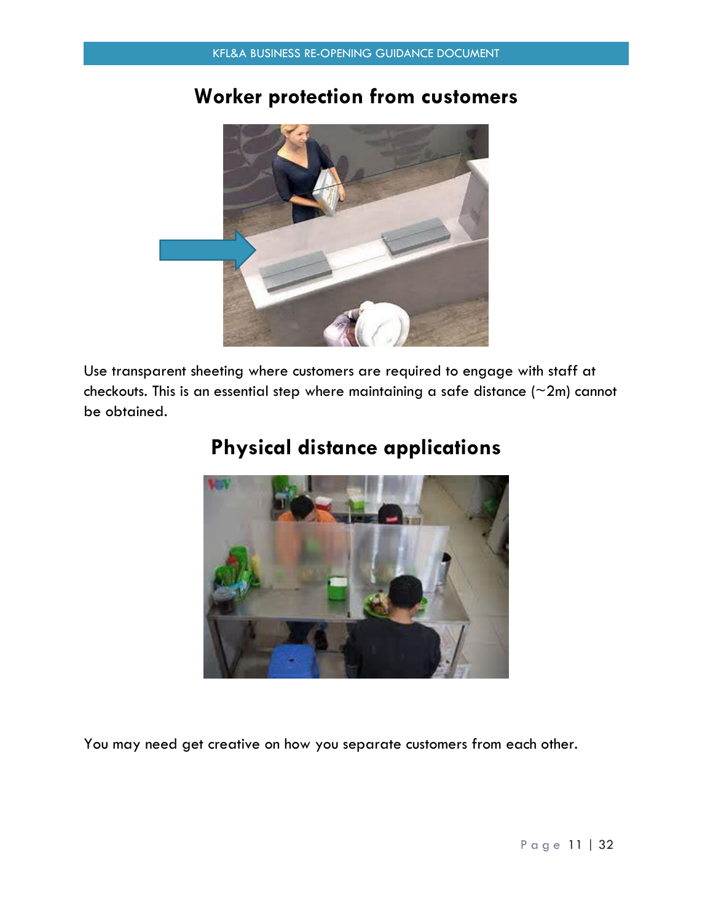## **Worker protection from customers**



Use transparent sheeting where customers are required to engage with staff at checkouts. This is an essential step where maintaining a safe distance  $(\sim 2m)$  cannot be obtained.



## **Physical distance applications**

You may need get creative on how you separate customers from each other.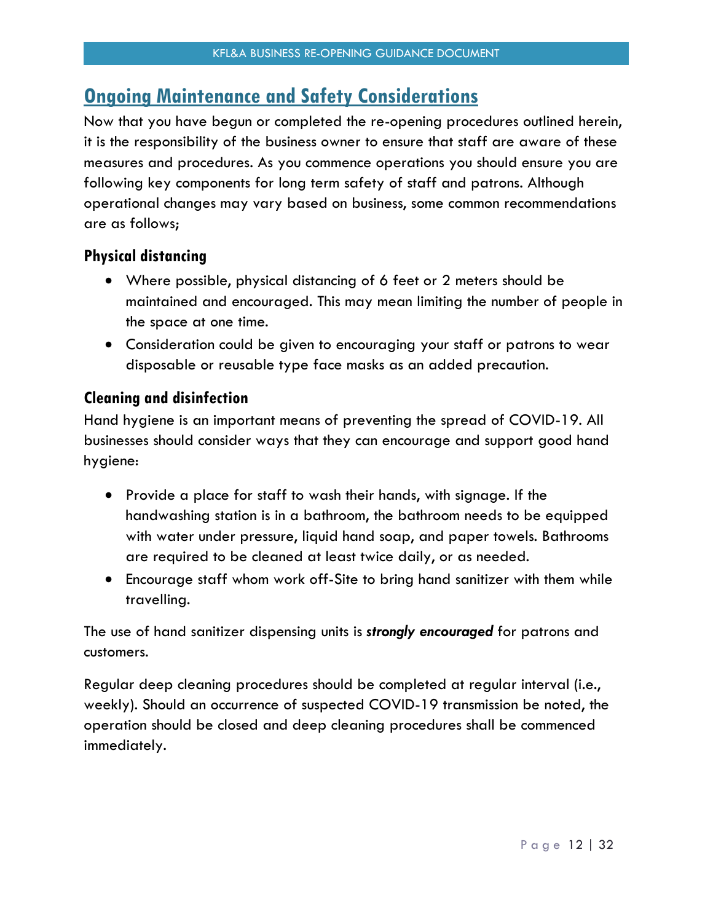### <span id="page-11-0"></span>**Ongoing Maintenance and Safety Considerations**

Now that you have begun or completed the re-opening procedures outlined herein, it is the responsibility of the business owner to ensure that staff are aware of these measures and procedures. As you commence operations you should ensure you are following key components for long term safety of staff and patrons. Although operational changes may vary based on business, some common recommendations are as follows;

### <span id="page-11-1"></span>**Physical distancing**

- Where possible, physical distancing of 6 feet or 2 meters should be maintained and encouraged. This may mean limiting the number of people in the space at one time.
- Consideration could be given to encouraging your staff or patrons to wear disposable or reusable type face masks as an added precaution.

### <span id="page-11-2"></span>**Cleaning and disinfection**

Hand hygiene is an important means of preventing the spread of COVID-19. All businesses should consider ways that they can encourage and support good hand hygiene:

- Provide a place for staff to wash their hands, with signage. If the handwashing station is in a bathroom, the bathroom needs to be equipped with water under pressure, liquid hand soap, and paper towels. Bathrooms are required to be cleaned at least twice daily, or as needed.
- Encourage staff whom work off-Site to bring hand sanitizer with them while travelling.

The use of hand sanitizer dispensing units is *strongly encouraged* for patrons and customers.

Regular deep cleaning procedures should be completed at regular interval (i.e., weekly). Should an occurrence of suspected COVID-19 transmission be noted, the operation should be closed and deep cleaning procedures shall be commenced immediately.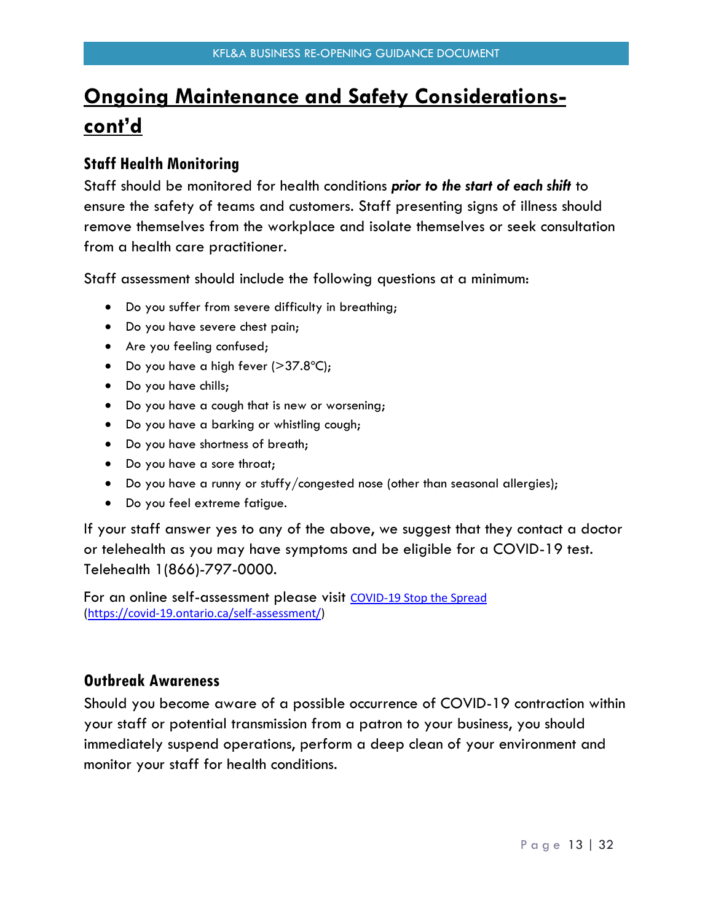# **Ongoing Maintenance and Safety Considerationscont'd**

### <span id="page-12-0"></span>**Staff Health Monitoring**

Staff should be monitored for health conditions *prior to the start of each shift* to ensure the safety of teams and customers. Staff presenting signs of illness should remove themselves from the workplace and isolate themselves or seek consultation from a health care practitioner.

Staff assessment should include the following questions at a minimum:

- Do you suffer from severe difficulty in breathing;
- Do you have severe chest pain;
- Are you feeling confused;
- Do you have a high fever  $(>37.8^{\circ}C)$ ;
- Do you have chills;
- Do you have a cough that is new or worsening;
- Do you have a barking or whistling cough;
- Do you have shortness of breath;
- Do you have a sore throat;
- Do you have a runny or stuffy/congested nose (other than seasonal allergies);
- Do you feel extreme fatigue.

If your staff answer yes to any of the above, we suggest that they contact a doctor or telehealth as you may have symptoms and be eligible for a COVID-19 test. Telehealth 1(866)-797-0000.

For an online self-assessment please visit [COVID-19 Stop the Spread](https://linkprotect.cudasvc.com/url?a=https%3a%2f%2fwww.ontario.ca%2fpage%2fcovid-19-stop-spread&c=E,1,a7L2smL_eooDfgyQpt1f6QN9Yry4UhRkVJ-UxxxqrfFsPXc2Il5mQEEy-cnCX-pZDSg-agGp3Yap2e79gETw0VgodneFFLSBo-OWgpJqIwqWwvc,&typo=1) [\(https://covid-19.ontario.ca/self-assessment/\)](https://covid-19.ontario.ca/self-assessment/)

### <span id="page-12-1"></span>**Outbreak Awareness**

Should you become aware of a possible occurrence of COVID-19 contraction within your staff or potential transmission from a patron to your business, you should immediately suspend operations, perform a deep clean of your environment and monitor your staff for health conditions.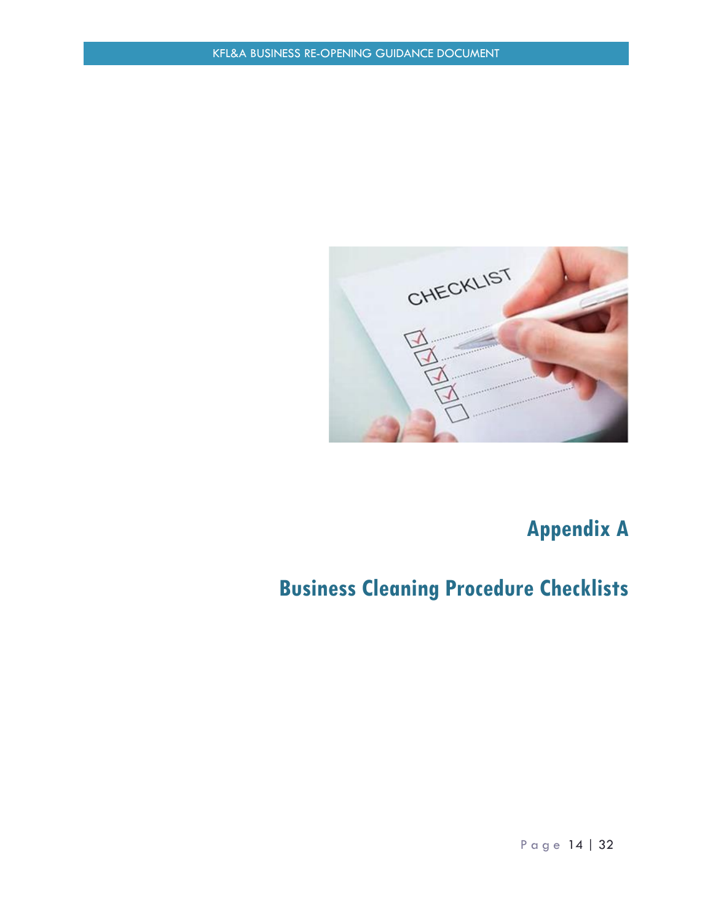

# **Appendix A**

# <span id="page-13-1"></span><span id="page-13-0"></span>**Business Cleaning Procedure Checklists**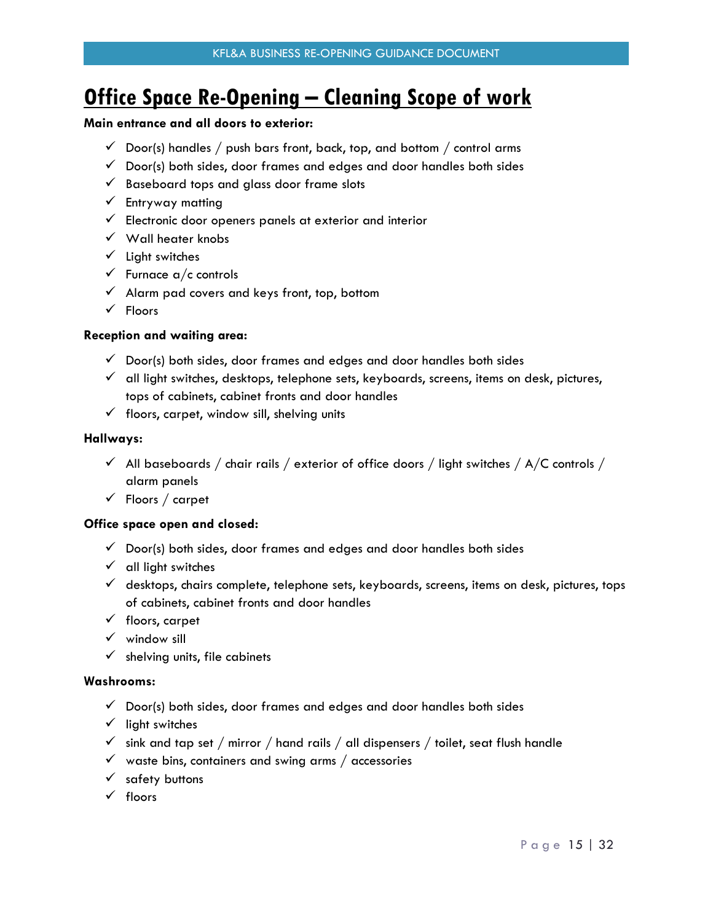## <span id="page-14-0"></span>**Office Space Re-Opening – Cleaning Scope of work**

#### **Main entrance and all doors to exterior:**

- $\checkmark$  Door(s) handles / push bars front, back, top, and bottom / control arms
- $\checkmark$  Door(s) both sides, door frames and edges and door handles both sides
- $\checkmark$  Baseboard tops and glass door frame slots
- $\checkmark$  Entryway matting
- $\checkmark$  Electronic door openers panels at exterior and interior
- $\checkmark$  Wall heater knobs
- $\checkmark$  Light switches
- $\checkmark$  Furnace a/c controls
- $\checkmark$  Alarm pad covers and keys front, top, bottom
- $\sqrt{\phantom{a}}$  Floors

#### **Reception and waiting area:**

- $\checkmark$  Door(s) both sides, door frames and edges and door handles both sides
- $\checkmark$  all light switches, desktops, telephone sets, keyboards, screens, items on desk, pictures, tops of cabinets, cabinet fronts and door handles
- $\checkmark$  floors, carpet, window sill, shelving units

#### **Hallways:**

- $\checkmark$  All baseboards / chair rails / exterior of office doors / light switches / A/C controls / alarm panels
- $\checkmark$  Floors / carpet

#### **Office space open and closed:**

- $\checkmark$  Door(s) both sides, door frames and edges and door handles both sides
- $\checkmark$  all light switches
- $\checkmark$  desktops, chairs complete, telephone sets, keyboards, screens, items on desk, pictures, tops of cabinets, cabinet fronts and door handles
- $\checkmark$  floors, carpet
- $\checkmark$  window sill
- $\checkmark$  shelving units, file cabinets

#### **Washrooms:**

- $\checkmark$  Door(s) both sides, door frames and edges and door handles both sides
- $\checkmark$  light switches
- $\checkmark$  sink and tap set / mirror / hand rails / all dispensers / toilet, seat flush handle
- $\checkmark$  waste bins, containers and swing arms / accessories
- $\checkmark$  safety buttons
- $\checkmark$  floors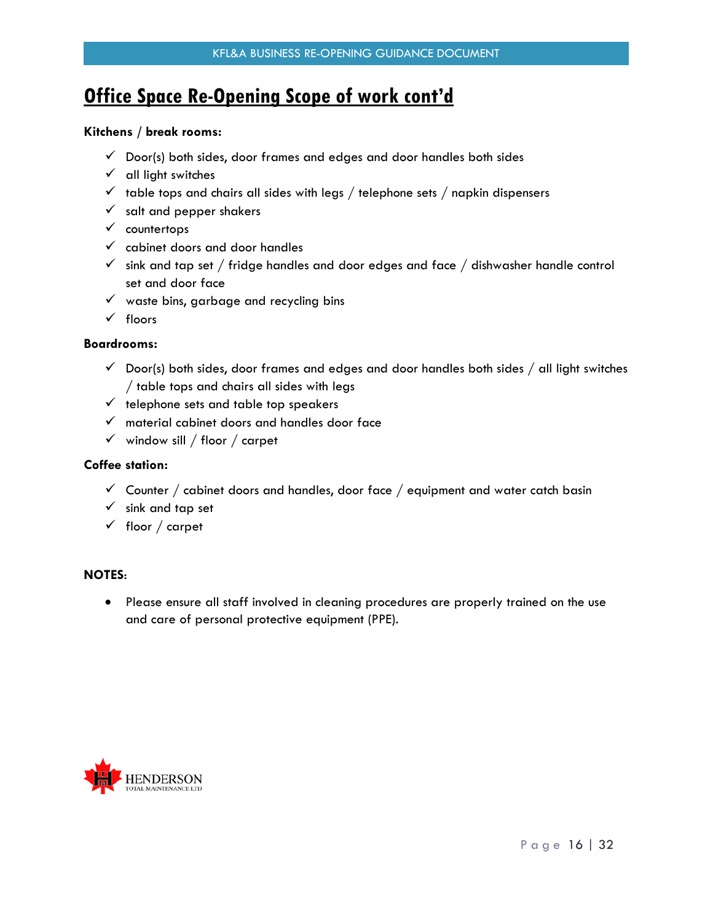### **Office Space Re-Opening Scope of work cont'd**

#### **Kitchens / break rooms:**

- $\checkmark$  Door(s) both sides, door frames and edges and door handles both sides
- $\checkmark$  all light switches
- $\checkmark$  table tops and chairs all sides with legs / telephone sets / napkin dispensers
- $\checkmark$  salt and pepper shakers
- $\checkmark$  countertops
- $\checkmark$  cabinet doors and door handles
- $\checkmark$  sink and tap set / fridge handles and door edges and face / dishwasher handle control set and door face
- $\checkmark$  waste bins, garbage and recycling bins
- $\checkmark$  floors

#### **Boardrooms:**

- $\checkmark$  Door(s) both sides, door frames and edges and door handles both sides  $/$  all light switches / table tops and chairs all sides with legs
- $\checkmark$  telephone sets and table top speakers
- $\checkmark$  material cabinet doors and handles door face
- $\checkmark$  window sill / floor / carpet

#### **Coffee station:**

- $\checkmark$  Counter / cabinet doors and handles, door face / equipment and water catch basin
- $\checkmark$  sink and tap set
- $\checkmark$  floor / carpet

#### **NOTES**:

 Please ensure all staff involved in cleaning procedures are properly trained on the use and care of personal protective equipment (PPE).

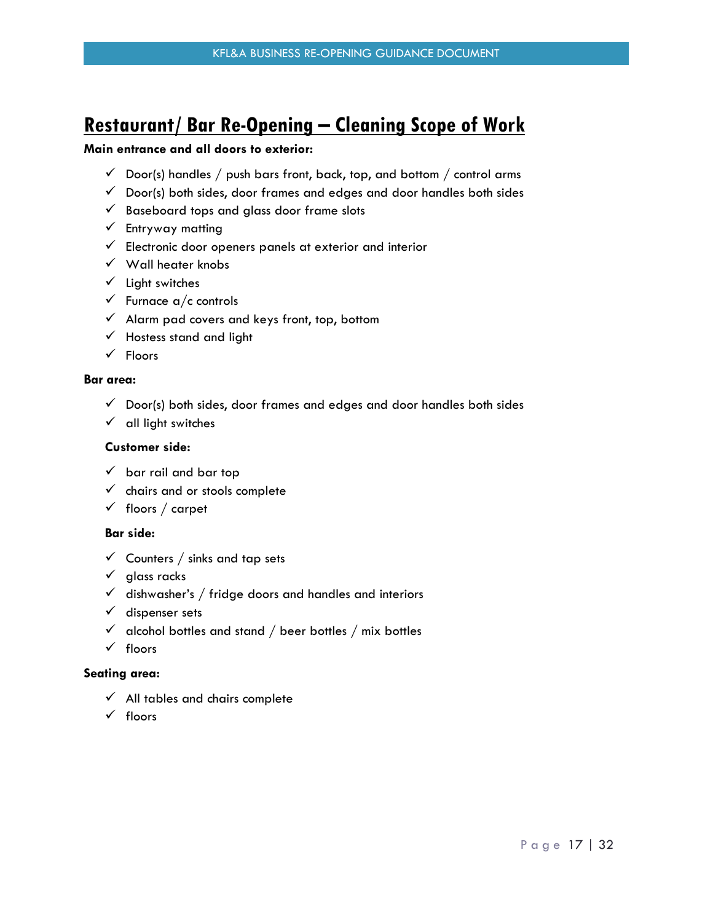### <span id="page-16-0"></span>**Restaurant/ Bar Re-Opening – Cleaning Scope of Work**

#### **Main entrance and all doors to exterior:**

- $\checkmark$  Door(s) handles / push bars front, back, top, and bottom / control arms
- $\checkmark$  Door(s) both sides, door frames and edges and door handles both sides
- $\checkmark$  Baseboard tops and glass door frame slots
- $\checkmark$  Entryway matting
- $\checkmark$  Electronic door openers panels at exterior and interior
- $\checkmark$  Wall heater knobs
- $\checkmark$  Light switches
- $\checkmark$  Furnace a/c controls
- $\checkmark$  Alarm pad covers and keys front, top, bottom
- $\checkmark$  Hostess stand and light
- $\checkmark$  Floors

#### **Bar area:**

- $\checkmark$  Door(s) both sides, door frames and edges and door handles both sides
- $\checkmark$  all light switches

#### **Customer side:**

- $\checkmark$  bar rail and bar top
- $\checkmark$  chairs and or stools complete
- $\checkmark$  floors / carpet

#### **Bar side:**

- $\checkmark$  Counters / sinks and tap sets
- $\checkmark$  glass racks
- $\checkmark$  dishwasher's / fridge doors and handles and interiors
- $\checkmark$  dispenser sets
- $\checkmark$  alcohol bottles and stand / beer bottles / mix bottles
- $\checkmark$  floors

#### **Seating area:**

- $\checkmark$  All tables and chairs complete
- $\checkmark$  floors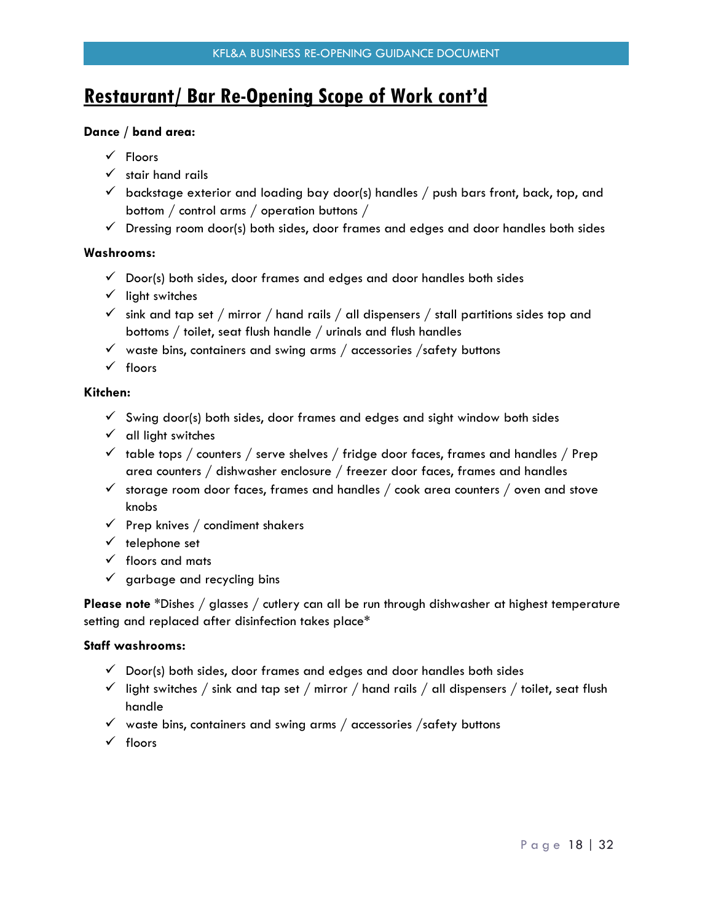## **Restaurant/ Bar Re-Opening Scope of Work cont'd**

#### **Dance / band area:**

- $\checkmark$  Floors
- $\checkmark$  stair hand rails
- $\checkmark$  backstage exterior and loading bay door(s) handles / push bars front, back, top, and bottom / control arms / operation buttons /
- $\checkmark$  Dressing room door(s) both sides, door frames and edges and door handles both sides

#### **Washrooms:**

- $\checkmark$  Door(s) both sides, door frames and edges and door handles both sides
- $\checkmark$  light switches
- $\checkmark$  sink and tap set / mirror / hand rails / all dispensers / stall partitions sides top and bottoms / toilet, seat flush handle / urinals and flush handles
- $\checkmark$  waste bins, containers and swing arms / accessories /safety buttons
- $\checkmark$  floors

#### **Kitchen:**

- $\checkmark$  Swing door(s) both sides, door frames and edges and sight window both sides
- $\checkmark$  all light switches
- $\checkmark$  table tops / counters / serve shelves / fridge door faces, frames and handles / Prep area counters / dishwasher enclosure / freezer door faces, frames and handles
- $\checkmark$  storage room door faces, frames and handles / cook area counters / oven and stove knobs
- $\checkmark$  Prep knives / condiment shakers
- $\checkmark$  telephone set
- $\checkmark$  floors and mats
- $\checkmark$  garbage and recycling bins

**Please note** \*Dishes / glasses / cutlery can all be run through dishwasher at highest temperature setting and replaced after disinfection takes place\*

#### **Staff washrooms:**

- $\checkmark$  Door(s) both sides, door frames and edges and door handles both sides
- $\checkmark$  light switches / sink and tap set / mirror / hand rails / all dispensers / toilet, seat flush handle
- $\checkmark$  waste bins, containers and swing arms / accessories /safety buttons
- $\checkmark$  floors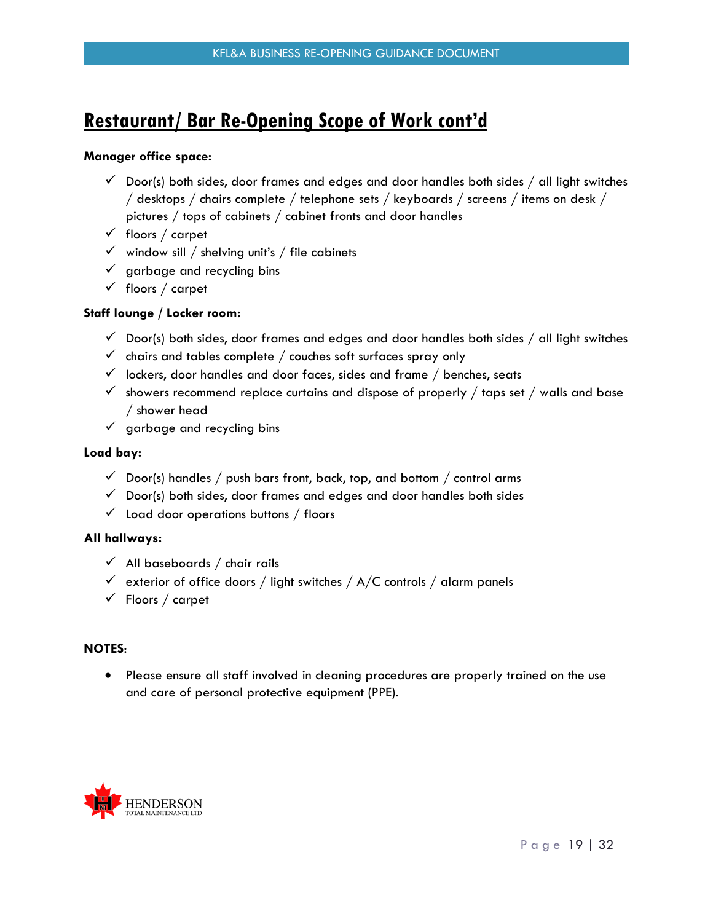### **Restaurant/ Bar Re-Opening Scope of Work cont'd**

#### **Manager office space:**

- $\checkmark$  Door(s) both sides, door frames and edges and door handles both sides / all light switches / desktops / chairs complete / telephone sets / keyboards / screens / items on desk / pictures / tops of cabinets / cabinet fronts and door handles
- $\checkmark$  floors / carpet
- $\checkmark$  window sill / shelving unit's / file cabinets
- $\checkmark$  garbage and recycling bins
- $\checkmark$  floors / carpet

#### **Staff lounge / Locker room:**

- $\checkmark$  Door(s) both sides, door frames and edges and door handles both sides / all light switches
- $\checkmark$  chairs and tables complete / couches soft surfaces spray only
- $\checkmark$  lockers, door handles and door faces, sides and frame / benches, seats
- $\checkmark$  showers recommend replace curtains and dispose of properly / taps set / walls and base / shower head
- $\checkmark$  garbage and recycling bins

#### **Load bay:**

- $\checkmark$  Door(s) handles / push bars front, back, top, and bottom / control arms
- $\checkmark$  Door(s) both sides, door frames and edges and door handles both sides
- $\checkmark$  Load door operations buttons / floors

#### **All hallways:**

- $\checkmark$  All baseboards / chair rails
- $\checkmark$  exterior of office doors / light switches / A/C controls / alarm panels
- $\checkmark$  Floors / carpet

#### **NOTES**:

 Please ensure all staff involved in cleaning procedures are properly trained on the use and care of personal protective equipment (PPE).

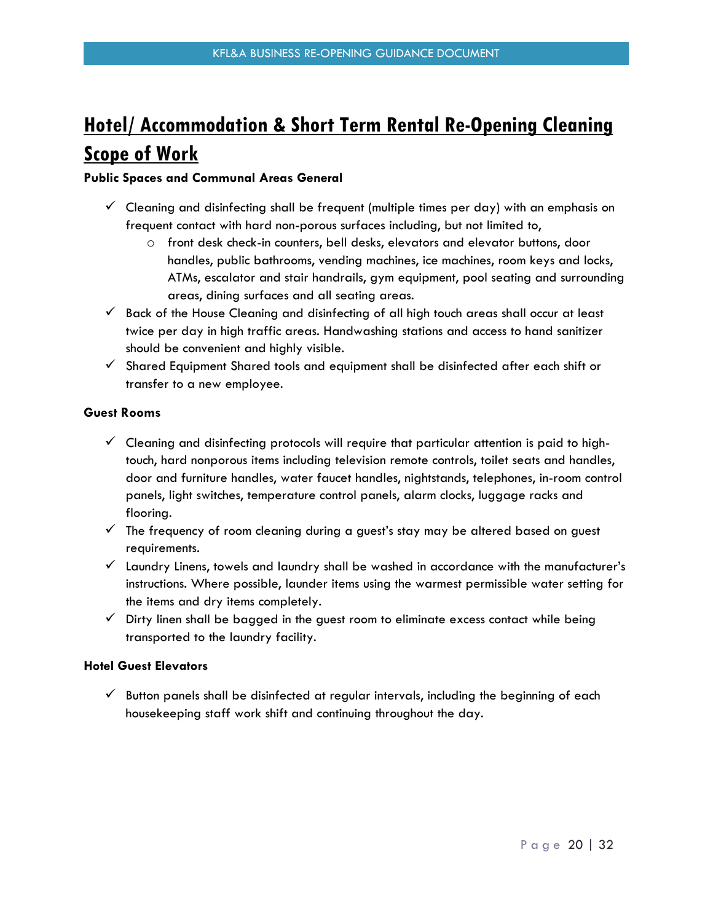# <span id="page-19-0"></span>**Hotel/ Accommodation & Short Term Rental Re-Opening Cleaning Scope of Work**

#### **Public Spaces and Communal Areas General**

- $\checkmark$  Cleaning and disinfecting shall be frequent (multiple times per day) with an emphasis on frequent contact with hard non-porous surfaces including, but not limited to,
	- o front desk check-in counters, bell desks, elevators and elevator buttons, door handles, public bathrooms, vending machines, ice machines, room keys and locks, ATMs, escalator and stair handrails, gym equipment, pool seating and surrounding areas, dining surfaces and all seating areas.
- $\checkmark$  Back of the House Cleaning and disinfecting of all high touch areas shall occur at least twice per day in high traffic areas. Handwashing stations and access to hand sanitizer should be convenient and highly visible.
- $\checkmark$  Shared Equipment Shared tools and equipment shall be disinfected after each shift or transfer to a new employee.

#### **Guest Rooms**

- $\checkmark$  Cleaning and disinfecting protocols will require that particular attention is paid to hightouch, hard nonporous items including television remote controls, toilet seats and handles, door and furniture handles, water faucet handles, nightstands, telephones, in-room control panels, light switches, temperature control panels, alarm clocks, luggage racks and flooring.
- $\checkmark$  The frequency of room cleaning during a guest's stay may be altered based on guest requirements.
- $\checkmark$  Laundry Linens, towels and laundry shall be washed in accordance with the manufacturer's instructions. Where possible, launder items using the warmest permissible water setting for the items and dry items completely.
- $\checkmark$  Dirty linen shall be bagged in the guest room to eliminate excess contact while being transported to the laundry facility.

#### **Hotel Guest Elevators**

 $\checkmark$  Button panels shall be disinfected at regular intervals, including the beginning of each housekeeping staff work shift and continuing throughout the day.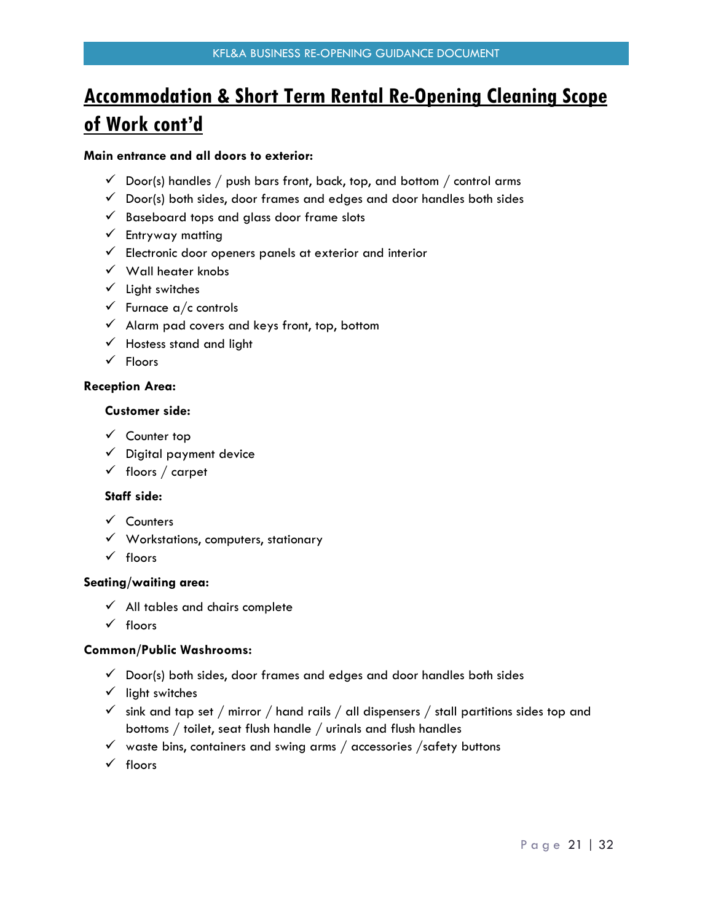## **Accommodation & Short Term Rental Re-Opening Cleaning Scope of Work cont'd**

#### **Main entrance and all doors to exterior:**

- $\checkmark$  Door(s) handles / push bars front, back, top, and bottom / control arms
- $\checkmark$  Door(s) both sides, door frames and edges and door handles both sides
- $\checkmark$  Baseboard tops and glass door frame slots
- $\checkmark$  Entryway matting
- $\checkmark$  Electronic door openers panels at exterior and interior
- $\checkmark$  Wall heater knobs
- $\checkmark$  Light switches
- $\checkmark$  Furnace a/c controls
- $\checkmark$  Alarm pad covers and keys front, top, bottom
- $\checkmark$  Hostess stand and light
- $\checkmark$  Floors

#### **Reception Area:**

#### **Customer side:**

- $\checkmark$  Counter top
- $\checkmark$  Digital payment device
- $\checkmark$  floors / carpet

#### **Staff side:**

- $\checkmark$  Counters
- $\checkmark$  Workstations, computers, stationary
- $\checkmark$  floors

#### **Seating/waiting area:**

- $\checkmark$  All tables and chairs complete
- $\checkmark$  floors

#### **Common/Public Washrooms:**

- $\checkmark$  Door(s) both sides, door frames and edges and door handles both sides
- $\checkmark$  light switches
- $\checkmark$  sink and tap set / mirror / hand rails / all dispensers / stall partitions sides top and bottoms / toilet, seat flush handle / urinals and flush handles
- $\checkmark$  waste bins, containers and swing arms / accessories /safety buttons
- $\checkmark$  floors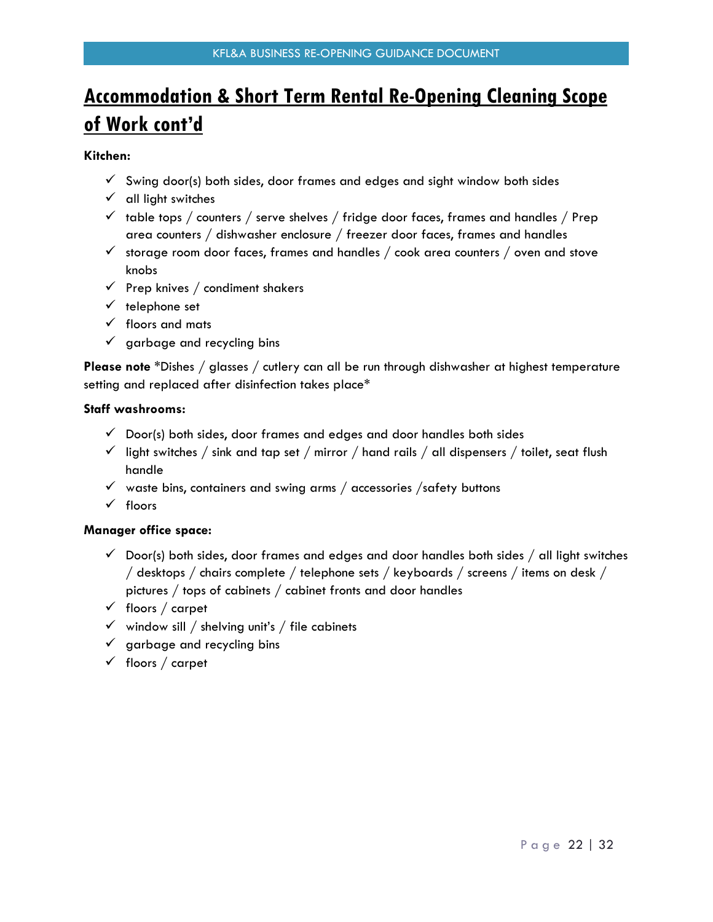# **Accommodation & Short Term Rental Re-Opening Cleaning Scope of Work cont'd**

#### **Kitchen:**

- $\checkmark$  Swing door(s) both sides, door frames and edges and sight window both sides
- $\checkmark$  all light switches
- $\checkmark$  table tops / counters / serve shelves / fridge door faces, frames and handles / Prep area counters / dishwasher enclosure / freezer door faces, frames and handles
- $\checkmark$  storage room door faces, frames and handles / cook area counters / oven and stove knobs
- $\checkmark$  Prep knives / condiment shakers
- $\checkmark$  telephone set
- $\checkmark$  floors and mats
- $\checkmark$  garbage and recycling bins

**Please note** \*Dishes / glasses / cutlery can all be run through dishwasher at highest temperature setting and replaced after disinfection takes place\*

#### **Staff washrooms:**

- $\checkmark$  Door(s) both sides, door frames and edges and door handles both sides
- $\checkmark$  light switches / sink and tap set / mirror / hand rails / all dispensers / toilet, seat flush handle
- $\checkmark$  waste bins, containers and swing arms / accessories / safety buttons
- $\checkmark$  floors

#### **Manager office space:**

- $\checkmark$  Door(s) both sides, door frames and edges and door handles both sides / all light switches / desktops / chairs complete / telephone sets / keyboards / screens / items on desk / pictures / tops of cabinets / cabinet fronts and door handles
- $\checkmark$  floors / carpet
- $\checkmark$  window sill / shelving unit's / file cabinets
- $\checkmark$  garbage and recycling bins
- $\checkmark$  floors / carpet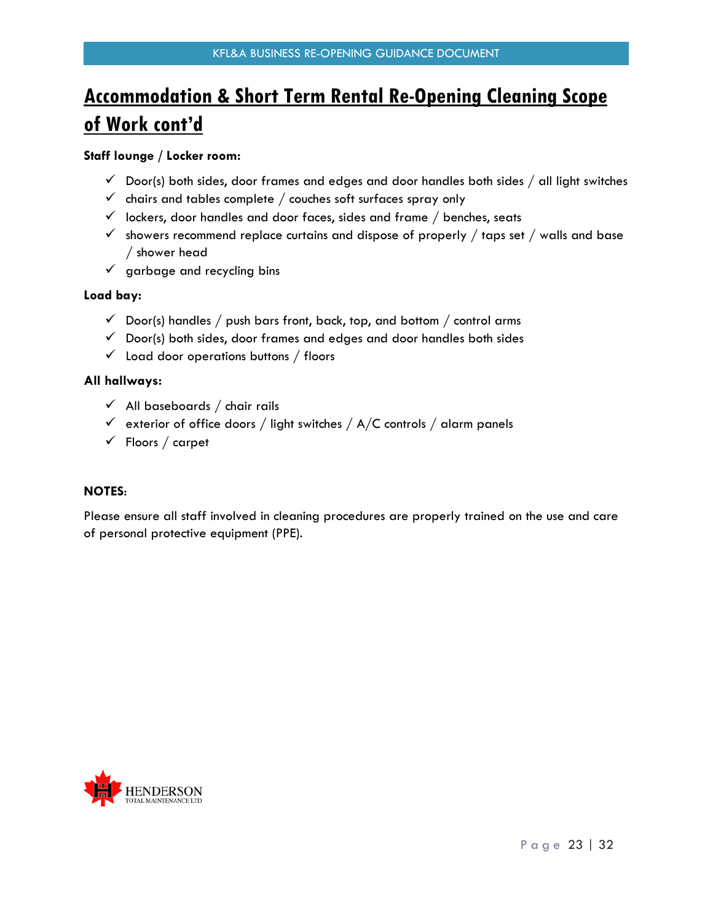# **Accommodation & Short Term Rental Re-Opening Cleaning Scope of Work cont'd**

#### **Staff lounge / Locker room:**

- $\checkmark$  Door(s) both sides, door frames and edges and door handles both sides  $/$  all light switches
- $\checkmark$  chairs and tables complete / couches soft surfaces spray only
- $\checkmark$  lockers, door handles and door faces, sides and frame / benches, seats
- $\checkmark$  showers recommend replace curtains and dispose of properly / taps set / walls and base / shower head
- $\checkmark$  garbage and recycling bins

#### **Load bay:**

- $\checkmark$  Door(s) handles / push bars front, back, top, and bottom / control arms
- $\checkmark$  Door(s) both sides, door frames and edges and door handles both sides
- $\checkmark$  Load door operations buttons / floors

#### **All hallways:**

- $\checkmark$  All baseboards / chair rails
- $\checkmark$  exterior of office doors / light switches / A/C controls / alarm panels
- $\checkmark$  Floors / carpet

#### **NOTES**:

Please ensure all staff involved in cleaning procedures are properly trained on the use and care of personal protective equipment (PPE).

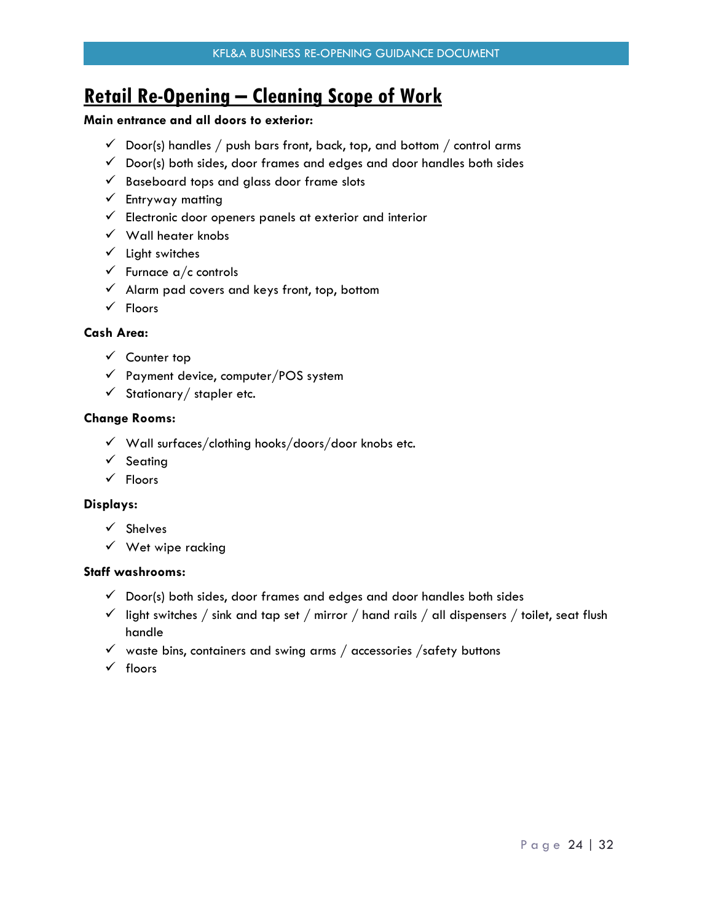## <span id="page-23-0"></span>**Retail Re-Opening – Cleaning Scope of Work**

#### **Main entrance and all doors to exterior:**

- $\checkmark$  Door(s) handles / push bars front, back, top, and bottom / control arms
- $\checkmark$  Door(s) both sides, door frames and edges and door handles both sides
- $\checkmark$  Baseboard tops and glass door frame slots
- $\checkmark$  Entryway matting
- $\checkmark$  Electronic door openers panels at exterior and interior
- $\checkmark$  Wall heater knobs
- $\checkmark$  Light switches
- $\checkmark$  Furnace a/c controls
- $\checkmark$  Alarm pad covers and keys front, top, bottom
- $\checkmark$  Floors

#### **Cash Area:**

- $\checkmark$  Counter top
- $\checkmark$  Payment device, computer/POS system
- $\checkmark$  Stationary / stapler etc.

#### **Change Rooms:**

- $\checkmark$  Wall surfaces/clothing hooks/doors/door knobs etc.
- $\checkmark$  Seating
- $\checkmark$  Floors

#### **Displays:**

- $\checkmark$  Shelves
- $\checkmark$  Wet wipe racking

#### **Staff washrooms:**

- $\checkmark$  Door(s) both sides, door frames and edges and door handles both sides
- $\checkmark$  light switches / sink and tap set / mirror / hand rails / all dispensers / toilet, seat flush handle
- $\checkmark$  waste bins, containers and swing arms / accessories /safety buttons
- $\checkmark$  floors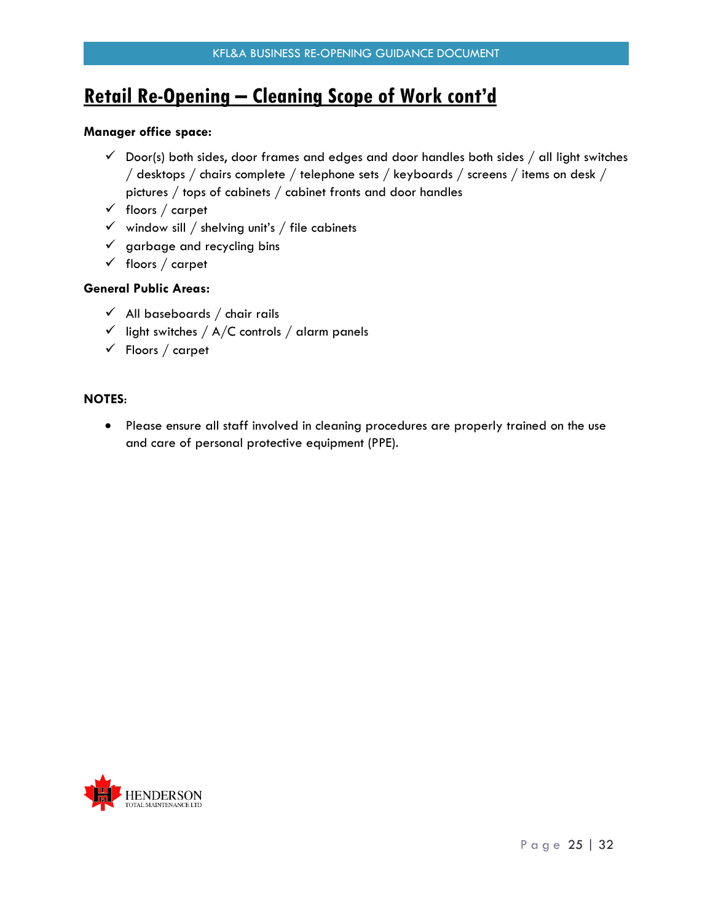## **Retail Re-Opening – Cleaning Scope of Work cont'd**

#### **Manager office space:**

- $\checkmark$  Door(s) both sides, door frames and edges and door handles both sides / all light switches / desktops / chairs complete / telephone sets / keyboards / screens / items on desk / pictures / tops of cabinets / cabinet fronts and door handles
- $\checkmark$  floors / carpet
- $\checkmark$  window sill / shelving unit's / file cabinets
- $\checkmark$  garbage and recycling bins
- $\checkmark$  floors / carpet

#### **General Public Areas:**

- $\checkmark$  All baseboards / chair rails
- $\checkmark$  light switches / A/C controls / alarm panels
- $\checkmark$  Floors / carpet

#### **NOTES**:

• Please ensure all staff involved in cleaning procedures are properly trained on the use and care of personal protective equipment (PPE).

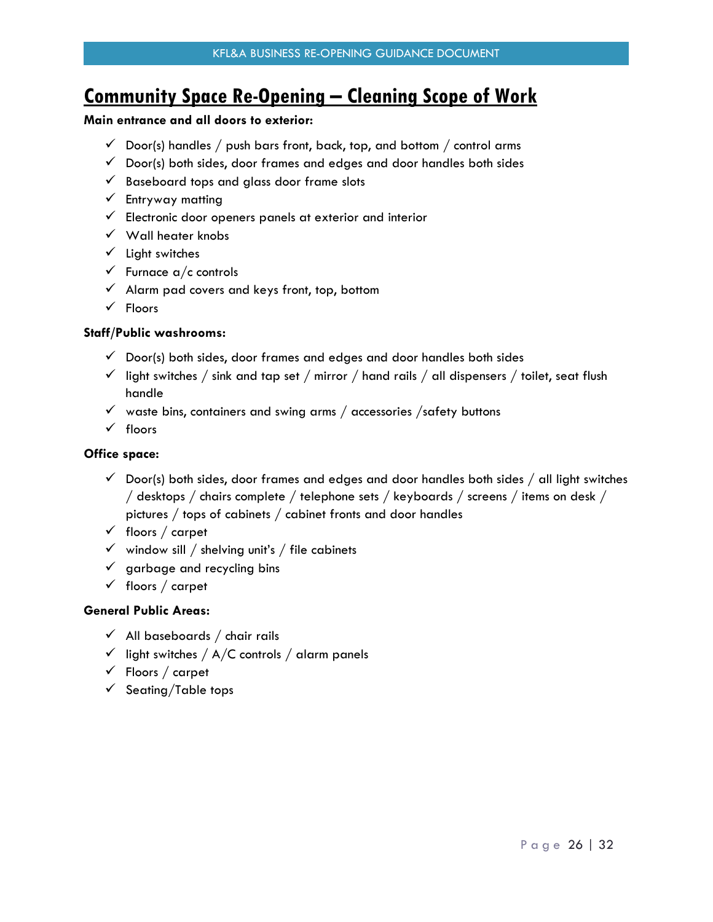## <span id="page-25-0"></span>**Community Space Re-Opening – Cleaning Scope of Work**

#### **Main entrance and all doors to exterior:**

- $\checkmark$  Door(s) handles / push bars front, back, top, and bottom / control arms
- $\checkmark$  Door(s) both sides, door frames and edges and door handles both sides
- $\checkmark$  Baseboard tops and glass door frame slots
- $\checkmark$  Entryway matting
- $\checkmark$  Electronic door openers panels at exterior and interior
- $\checkmark$  Wall heater knobs
- $\checkmark$  Light switches
- $\checkmark$  Furnace a/c controls
- $\checkmark$  Alarm pad covers and keys front, top, bottom
- $\checkmark$  Floors

#### **Staff/Public washrooms:**

- $\checkmark$  Door(s) both sides, door frames and edges and door handles both sides
- $\checkmark$  light switches / sink and tap set / mirror / hand rails / all dispensers / toilet, seat flush handle
- $\checkmark$  waste bins, containers and swing arms / accessories /safety buttons
- $\checkmark$  floors

#### **Office space:**

- $\checkmark$  Door(s) both sides, door frames and edges and door handles both sides  $/$  all light switches / desktops / chairs complete / telephone sets / keyboards / screens / items on desk / pictures / tops of cabinets / cabinet fronts and door handles
- $\checkmark$  floors / carpet
- $\checkmark$  window sill / shelving unit's / file cabinets
- $\checkmark$  garbage and recycling bins
- $\checkmark$  floors / carpet

#### **General Public Areas:**

- $\checkmark$  All baseboards / chair rails
- $\checkmark$  light switches / A/C controls / alarm panels
- $\checkmark$  Floors / carpet
- $\checkmark$  Seating/Table tops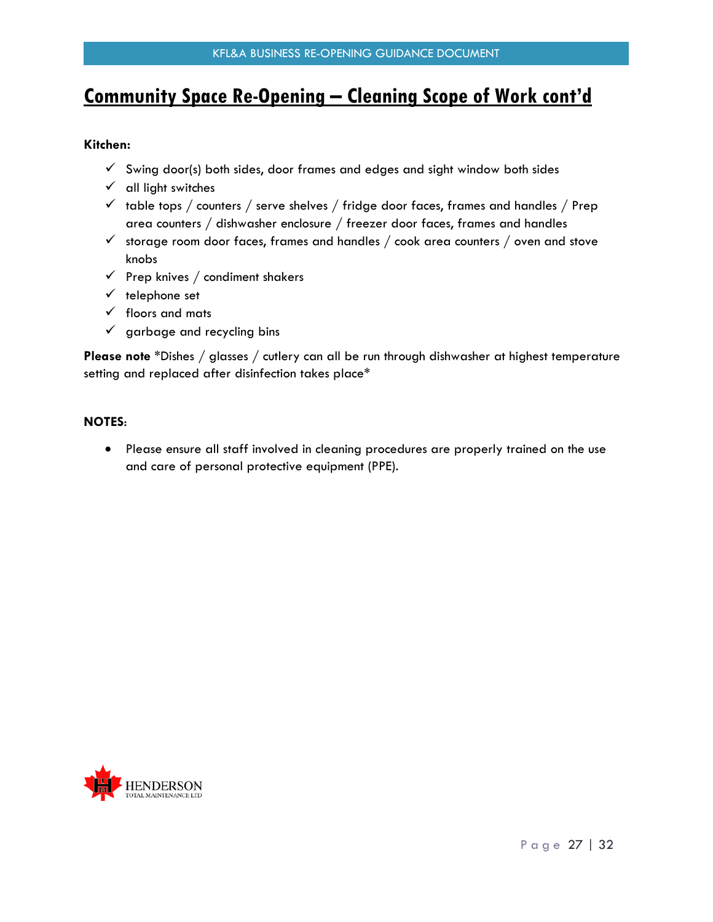### <span id="page-26-0"></span>**Community Space Re-Opening – Cleaning Scope of Work cont'd**

#### **Kitchen:**

- $\checkmark$  Swing door(s) both sides, door frames and edges and sight window both sides
- $\checkmark$  all light switches
- $\checkmark$  table tops / counters / serve shelves / fridge door faces, frames and handles / Prep area counters / dishwasher enclosure / freezer door faces, frames and handles
- $\checkmark$  storage room door faces, frames and handles / cook area counters / oven and stove knobs
- $\checkmark$  Prep knives / condiment shakers
- $\checkmark$  telephone set
- $\checkmark$  floors and mats
- $\checkmark$  garbage and recycling bins

**Please note** \*Dishes / glasses / cutlery can all be run through dishwasher at highest temperature setting and replaced after disinfection takes place\*

#### **NOTES**:

 Please ensure all staff involved in cleaning procedures are properly trained on the use and care of personal protective equipment (PPE).

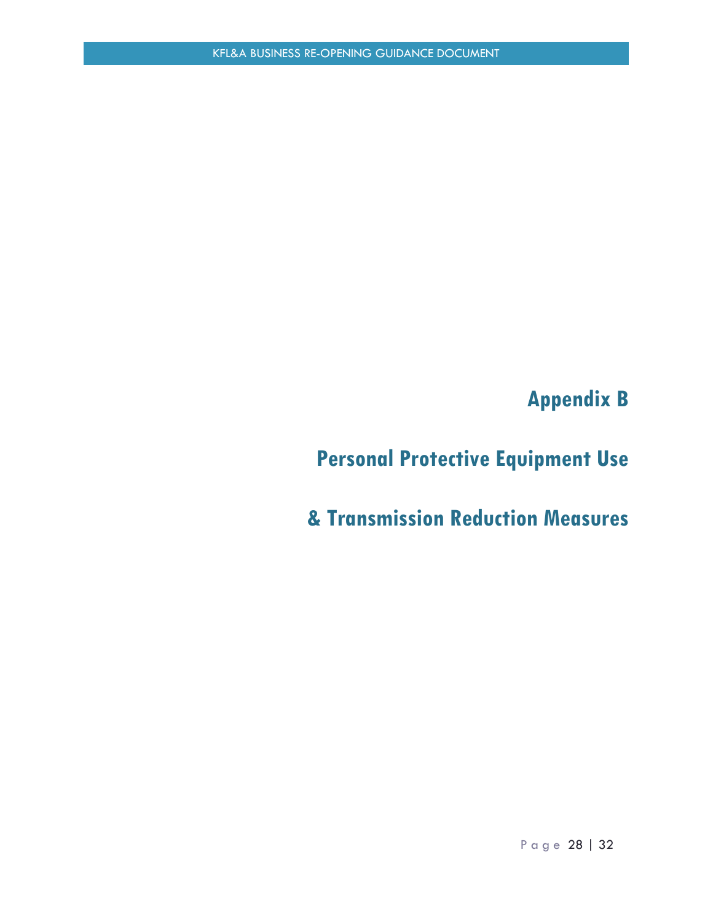**Appendix B**

# <span id="page-27-1"></span><span id="page-27-0"></span>**Personal Protective Equipment Use**

<span id="page-27-2"></span>**& Transmission Reduction Measures**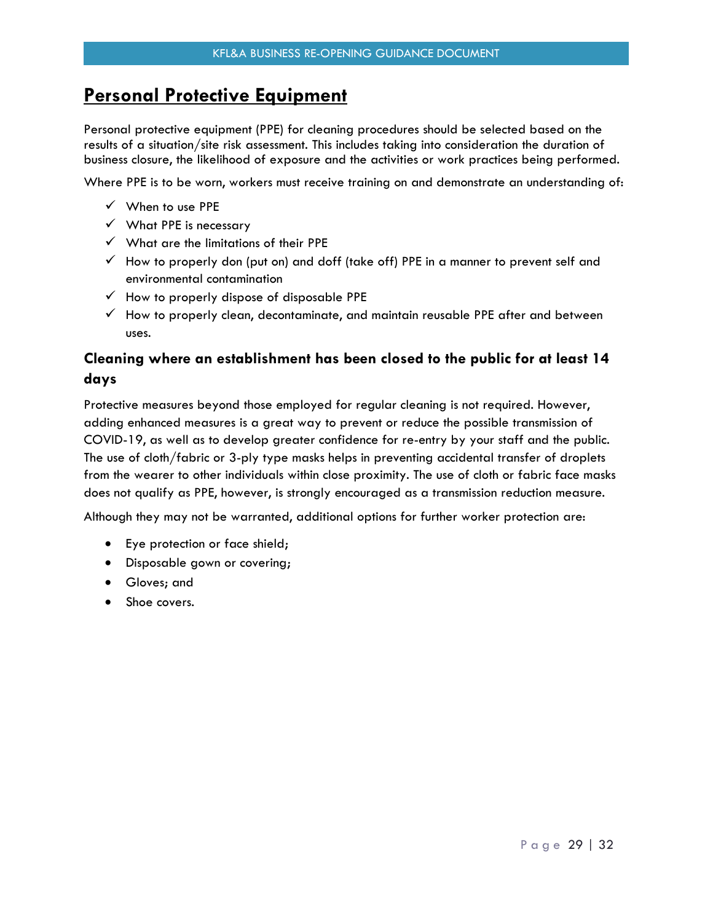### **Personal Protective Equipment**

Personal protective equipment (PPE) for cleaning procedures should be selected based on the results of a situation/site risk assessment. This includes taking into consideration the duration of business closure, the likelihood of exposure and the activities or work practices being performed.

Where PPE is to be worn, workers must receive training on and demonstrate an understanding of:

- $\checkmark$  When to use PPE
- $\checkmark$  What PPE is necessary
- $\checkmark$  What are the limitations of their PPE
- $\checkmark$  How to properly don (put on) and doff (take off) PPE in a manner to prevent self and environmental contamination
- $\checkmark$  How to properly dispose of disposable PPE
- $\checkmark$  How to properly clean, decontaminate, and maintain reusable PPE after and between uses.

### **Cleaning where an establishment has been closed to the public for at least 14 days**

Protective measures beyond those employed for regular cleaning is not required. However, adding enhanced measures is a great way to prevent or reduce the possible transmission of COVID-19, as well as to develop greater confidence for re-entry by your staff and the public. The use of cloth/fabric or 3-ply type masks helps in preventing accidental transfer of droplets from the wearer to other individuals within close proximity. The use of cloth or fabric face masks does not qualify as PPE, however, is strongly encouraged as a transmission reduction measure.

Although they may not be warranted, additional options for further worker protection are:

- Eye protection or face shield;
- Disposable gown or covering;
- Gloves; and
- Shoe covers.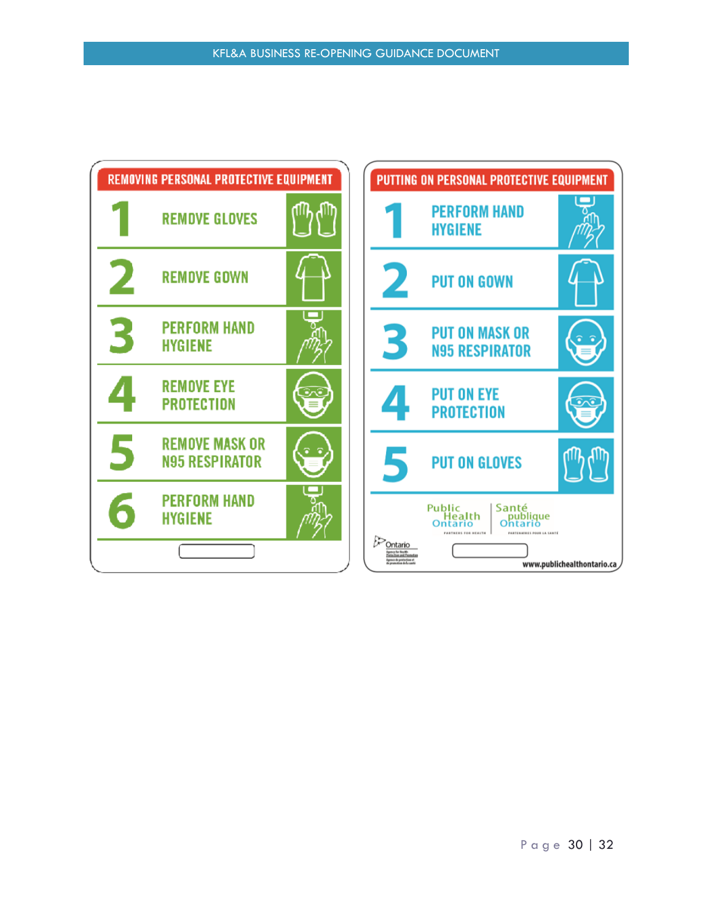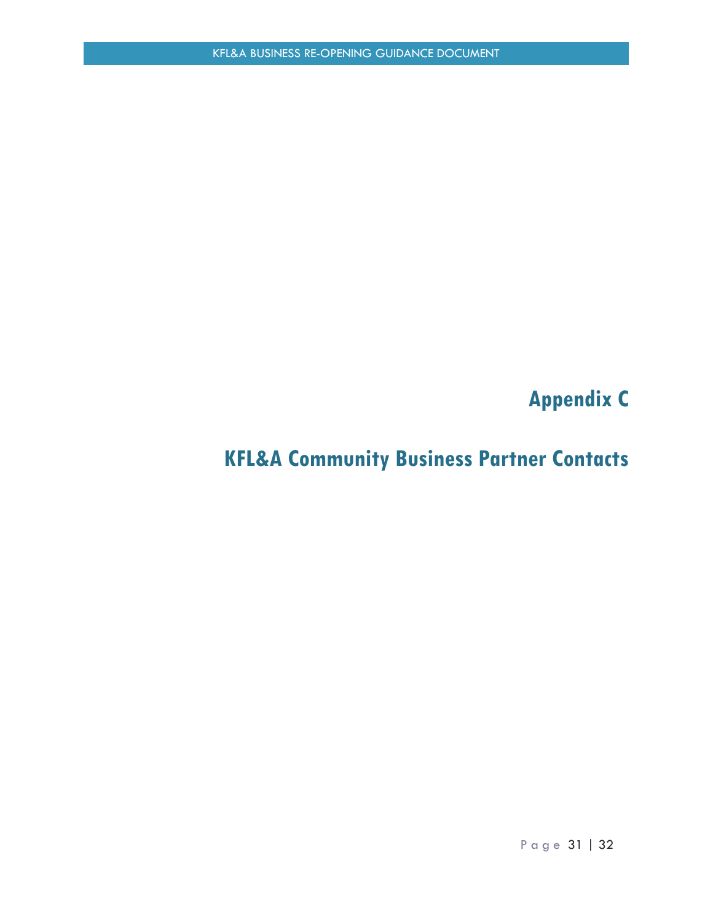**Appendix C** 

# <span id="page-30-1"></span><span id="page-30-0"></span>**KFL&A Community Business Partner Contacts**